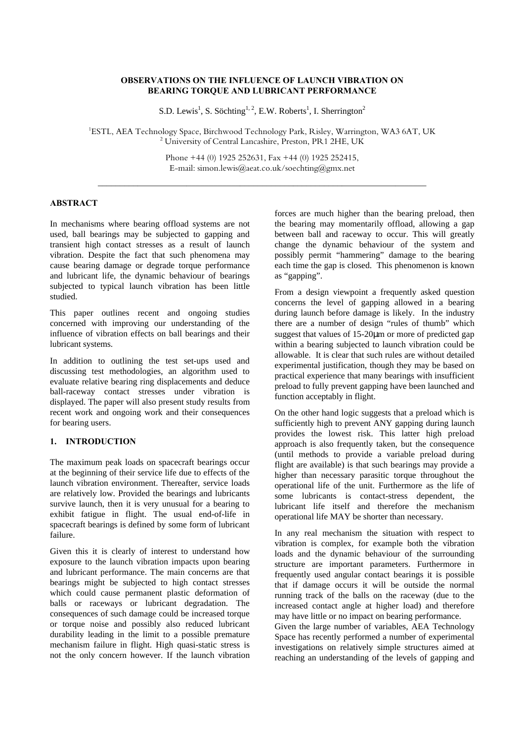# **OBSERVATIONS ON THE INFLUENCE OF LAUNCH VIBRATION ON BEARING TORQUE AND LUBRICANT PERFORMANCE**

S.D. Lewis<sup>1</sup>, S. Söchting<sup>1, 2</sup>, E.W. Roberts<sup>1</sup>, I. Sherrington<sup>2</sup>

<sup>1</sup>ESTL, AEA Technology Space, Birchwood Technology Park, Risley, Warrington, WA3 6AT, UK <sup>2</sup> University of Central Lancashire, Preston, PR1 2HE, UK

> Phone +44 (0) 1925 252631, Fax +44 (0) 1925 252415, E-mail: simon.lewis@aeat.co.uk/soechting@gmx.net

\_\_\_\_\_\_\_\_\_\_\_\_\_\_\_\_\_\_\_\_\_\_\_\_\_\_\_\_\_\_\_\_\_\_\_\_\_\_\_\_\_\_\_\_\_\_\_\_\_\_\_\_\_\_\_\_\_\_\_\_\_\_\_\_\_\_\_\_\_\_\_\_\_\_

## **ABSTRACT**

In mechanisms where bearing offload systems are not used, ball bearings may be subjected to gapping and transient high contact stresses as a result of launch vibration. Despite the fact that such phenomena may cause bearing damage or degrade torque performance and lubricant life, the dynamic behaviour of bearings subjected to typical launch vibration has been little studied.

This paper outlines recent and ongoing studies concerned with improving our understanding of the influence of vibration effects on ball bearings and their lubricant systems.

In addition to outlining the test set-ups used and discussing test methodologies, an algorithm used to evaluate relative bearing ring displacements and deduce ball-raceway contact stresses under vibration is displayed. The paper will also present study results from recent work and ongoing work and their consequences for bearing users.

# **1. INTRODUCTION**

The maximum peak loads on spacecraft bearings occur at the beginning of their service life due to effects of the launch vibration environment. Thereafter, service loads are relatively low. Provided the bearings and lubricants survive launch, then it is very unusual for a bearing to exhibit fatigue in flight. The usual end-of-life in spacecraft bearings is defined by some form of lubricant failure.

Given this it is clearly of interest to understand how exposure to the launch vibration impacts upon bearing and lubricant performance. The main concerns are that bearings might be subjected to high contact stresses which could cause permanent plastic deformation of balls or raceways or lubricant degradation. The consequences of such damage could be increased torque or torque noise and possibly also reduced lubricant durability leading in the limit to a possible premature mechanism failure in flight. High quasi-static stress is not the only concern however. If the launch vibration forces are much higher than the bearing preload, then the bearing may momentarily offload, allowing a gap between ball and raceway to occur. This will greatly change the dynamic behaviour of the system and possibly permit "hammering" damage to the bearing each time the gap is closed. This phenomenon is known as "gapping".

From a design viewpoint a frequently asked question concerns the level of gapping allowed in a bearing during launch before damage is likely. In the industry there are a number of design "rules of thumb" which suggest that values of 15-20μm or more of predicted gap within a bearing subjected to launch vibration could be allowable. It is clear that such rules are without detailed experimental justification, though they may be based on practical experience that many bearings with insufficient preload to fully prevent gapping have been launched and function acceptably in flight.

On the other hand logic suggests that a preload which is sufficiently high to prevent ANY gapping during launch provides the lowest risk. This latter high preload approach is also frequently taken, but the consequence (until methods to provide a variable preload during flight are available) is that such bearings may provide a higher than necessary parasitic torque throughout the operational life of the unit. Furthermore as the life of some lubricants is contact-stress dependent, the lubricant life itself and therefore the mechanism operational life MAY be shorter than necessary.

In any real mechanism the situation with respect to vibration is complex, for example both the vibration loads and the dynamic behaviour of the surrounding structure are important parameters. Furthermore in frequently used angular contact bearings it is possible that if damage occurs it will be outside the normal running track of the balls on the raceway (due to the increased contact angle at higher load) and therefore may have little or no impact on bearing performance.

Given the large number of variables, AEA Technology Space has recently performed a number of experimental investigations on relatively simple structures aimed at reaching an understanding of the levels of gapping and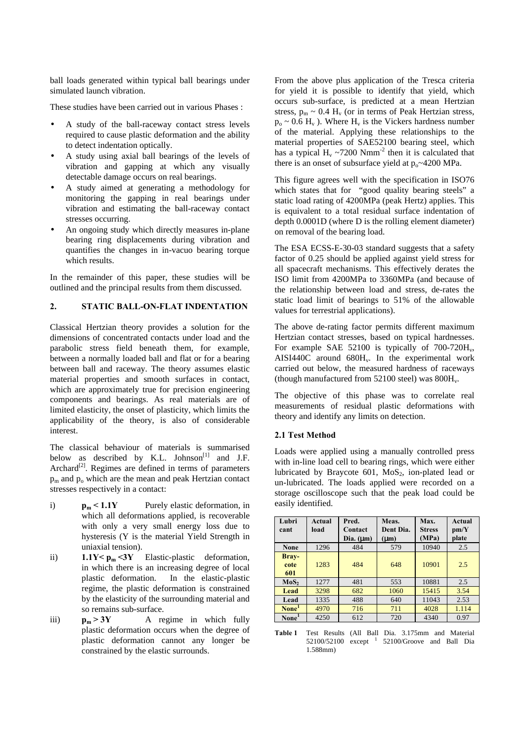ball loads generated within typical ball bearings under simulated launch vibration.

These studies have been carried out in various Phases :

- A study of the ball-raceway contact stress levels required to cause plastic deformation and the ability to detect indentation optically.
- A study using axial ball bearings of the levels of vibration and gapping at which any visually detectable damage occurs on real bearings.
- A study aimed at generating a methodology for monitoring the gapping in real bearings under vibration and estimating the ball-raceway contact stresses occurring.
- An ongoing study which directly measures in-plane bearing ring displacements during vibration and quantifies the changes in in-vacuo bearing torque which results.

In the remainder of this paper, these studies will be outlined and the principal results from them discussed.

# **2. STATIC BALL-ON-FLAT INDENTATION**

Classical Hertzian theory provides a solution for the dimensions of concentrated contacts under load and the parabolic stress field beneath them, for example, between a normally loaded ball and flat or for a bearing between ball and raceway. The theory assumes elastic material properties and smooth surfaces in contact, which are approximately true for precision engineering components and bearings. As real materials are of limited elasticity, the onset of plasticity, which limits the applicability of the theory, is also of considerable interest.

The classical behaviour of materials is summarised below as described by K.L. Johnson $^{[1]}$  and J.F. Archard<sup>[2]</sup>. Regimes are defined in terms of parameters  $p_m$  and  $p_o$  which are the mean and peak Hertzian contact stresses respectively in a contact:

- i) **pm < 1.1Y** Purely elastic deformation, in which all deformations applied, is recoverable with only a very small energy loss due to hysteresis (Y is the material Yield Strength in uniaxial tension).
- ii) **1.1Y <**  $p_m$  **<3Y** Elastic-plastic deformation, in which there is an increasing degree of local plastic deformation. In the elastic-plastic regime, the plastic deformation is constrained by the elasticity of the surrounding material and so remains sub-surface.
- iii)  $p_m > 3Y$  A regime in which fully plastic deformation occurs when the degree of plastic deformation cannot any longer be constrained by the elastic surrounds.

From the above plus application of the Tresca criteria for yield it is possible to identify that yield, which occurs sub-surface, is predicted at a mean Hertzian stress,  $p_m \sim 0.4$  H<sub>v</sub> (or in terms of Peak Hertzian stress,  $p_0 \sim 0.6$  H<sub>v</sub>). Where H<sub>v</sub> is the Vickers hardness number of the material. Applying these relationships to the material properties of SAE52100 bearing steel, which has a typical  $H_v \sim 7200$  Nmm<sup>-2</sup> then it is calculated that there is an onset of subsurface yield at  $p_0 \sim 4200$  MPa.

This figure agrees well with the specification in ISO76 which states that for "good quality bearing steels" a static load rating of 4200MPa (peak Hertz) applies. This is equivalent to a total residual surface indentation of depth 0.0001D (where D is the rolling element diameter) on removal of the bearing load.

The ESA ECSS-E-30-03 standard suggests that a safety factor of 0.25 should be applied against yield stress for all spacecraft mechanisms. This effectively derates the ISO limit from 4200MPa to 3360MPa (and because of the relationship between load and stress, de-rates the static load limit of bearings to 51% of the allowable values for terrestrial applications).

The above de-rating factor permits different maximum Hertzian contact stresses, based on typical hardnesses. For example SAE 52100 is typically of  $700-720H_v$ , AISI440C around  $680H_v$ . In the experimental work carried out below, the measured hardness of raceways (though manufactured from  $52100$  steel) was  $800H_v$ .

The objective of this phase was to correlate real measurements of residual plastic deformations with theory and identify any limits on detection.

#### **2.1 Test Method**

Loads were applied using a manually controlled press with in-line load cell to bearing rings, which were either lubricated by Braycote  $601$ , MoS<sub>2</sub>, ion-plated lead or un-lubricated. The loads applied were recorded on a storage oscilloscope such that the peak load could be easily identified.

| Lubri             | Actual | Pred.           | Meas.         | Max.          | Actual |  |
|-------------------|--------|-----------------|---------------|---------------|--------|--|
| cant              | load   | Contact         | Dent Dia.     | <b>Stress</b> | pm/Y   |  |
|                   |        | $Dia.$ ( $mm$ ) | ( <b>m</b> n) | (MPa)         | plate  |  |
| <b>None</b>       | 1296   | 484             | 579           | 10940         | 2.5    |  |
| Bray-             |        |                 |               |               |        |  |
| cote<br>601       | 1283   | 484             | 648           | 10901         | 2.5    |  |
| MoS <sub>2</sub>  | 1277   | 481             | 553           | 10881         | 2.5    |  |
| Lead              | 3298   | 682             | 1060          | 15415         | 3.54   |  |
| Lead              | 1335   | 488             | 640           | 11043         | 2.53   |  |
| None <sup>1</sup> | 4970   | 716             | 711           | 4028          | 1.114  |  |
| None <sup>1</sup> | 4250   | 612             | 720           | 4340          | 0.97   |  |

**Table 1** Test Results (All Ball Dia. 3.175mm and Material  $52100/52100$  except  $1$   $52100/G$ roove and Ball Dia 1.588mm)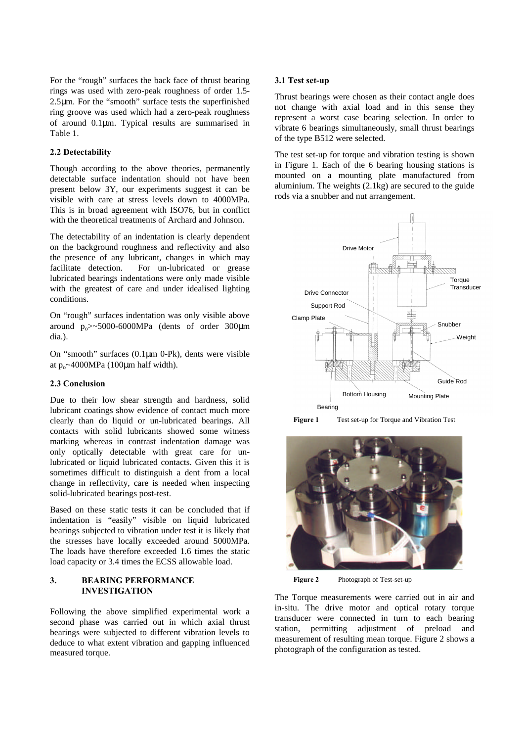For the "rough" surfaces the back face of thrust bearing rings was used with zero-peak roughness of order 1.5- 2.5μm. For the "smooth" surface tests the superfinished ring groove was used which had a zero-peak roughness of around 0.1μm. Typical results are summarised in Table 1.

# **2.2 Detectability**

Though according to the above theories, permanently detectable surface indentation should not have been present below 3Y, our experiments suggest it can be visible with care at stress levels down to 4000MPa. This is in broad agreement with ISO76, but in conflict with the theoretical treatments of Archard and Johnson.

The detectability of an indentation is clearly dependent on the background roughness and reflectivity and also the presence of any lubricant, changes in which may facilitate detection. For un-lubricated or grease lubricated bearings indentations were only made visible with the greatest of care and under idealised lighting conditions.

On "rough" surfaces indentation was only visible above around  $p_{0} > 5000-6000 MPa$  (dents of order 300 km dia.).

On "smooth" surfaces (0.1μm 0-Pk), dents were visible at  $p_0 \sim 4000 MPa$  (100µm half width).

## **2.3 Conclusion**

Due to their low shear strength and hardness, solid lubricant coatings show evidence of contact much more clearly than do liquid or un-lubricated bearings. All contacts with solid lubricants showed some witness marking whereas in contrast indentation damage was only optically detectable with great care for unlubricated or liquid lubricated contacts. Given this it is sometimes difficult to distinguish a dent from a local change in reflectivity, care is needed when inspecting solid-lubricated bearings post-test.

Based on these static tests it can be concluded that if indentation is "easily" visible on liquid lubricated bearings subjected to vibration under test it is likely that the stresses have locally exceeded around 5000MPa. The loads have therefore exceeded 1.6 times the static load capacity or 3.4 times the ECSS allowable load.

# **3. BEARING PERFORMANCE INVESTIGATION**

Following the above simplified experimental work a second phase was carried out in which axial thrust bearings were subjected to different vibration levels to deduce to what extent vibration and gapping influenced measured torque.

#### **3.1 Test set-up**

Thrust bearings were chosen as their contact angle does not change with axial load and in this sense they represent a worst case bearing selection. In order to vibrate 6 bearings simultaneously, small thrust bearings of the type B512 were selected.

The test set-up for torque and vibration testing is shown in Figure 1. Each of the 6 bearing housing stations is mounted on a mounting plate manufactured from aluminium. The weights (2.1kg) are secured to the guide rods via a snubber and nut arrangement.



**Figure 1** Test set-up for Torque and Vibration Test



**Figure 2** Photograph of Test-set-up

The Torque measurements were carried out in air and in-situ. The drive motor and optical rotary torque transducer were connected in turn to each bearing station, permitting adjustment of preload and measurement of resulting mean torque. Figure 2 shows a photograph of the configuration as tested.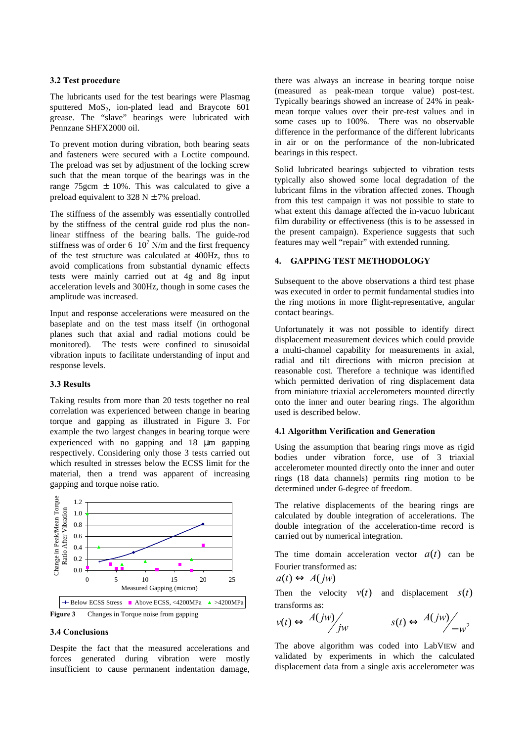#### **3.2 Test procedure**

The lubricants used for the test bearings were Plasmag sputtered  $MoS<sub>2</sub>$ , ion-plated lead and Braycote 601 grease. The "slave" bearings were lubricated with Pennzane SHFX2000 oil.

To prevent motion during vibration, both bearing seats and fasteners were secured with a Loctite compound. The preload was set by adjustment of the locking screw such that the mean torque of the bearings was in the range 75gcm  $\pm$  10%. This was calculated to give a preload equivalent to 328 N  $\pm$  7% preload.

The stiffness of the assembly was essentially controlled by the stiffness of the central guide rod plus the nonlinear stiffness of the bearing balls. The guide-rod stiffness was of order 6  $10^7$  N/m and the first frequency of the test structure was calculated at 400Hz, thus to avoid complications from substantial dynamic effects tests were mainly carried out at 4g and 8g input acceleration levels and 300Hz, though in some cases the amplitude was increased.

Input and response accelerations were measured on the baseplate and on the test mass itself (in orthogonal planes such that axial and radial motions could be monitored). The tests were confined to sinusoidal vibration inputs to facilitate understanding of input and response levels.

# **3.3 Results**

Taking results from more than 20 tests together no real correlation was experienced between change in bearing torque and gapping as illustrated in Figure 3. For example the two largest changes in bearing torque were experienced with no gapping and 18 μm gapping respectively. Considering only those 3 tests carried out which resulted in stresses below the ECSS limit for the material, then a trend was apparent of increasing gapping and torque noise ratio.



### **3.4 Conclusions**

Despite the fact that the measured accelerations and forces generated during vibration were mostly insufficient to cause permanent indentation damage, there was always an increase in bearing torque noise (measured as peak-mean torque value) post-test. Typically bearings showed an increase of 24% in peakmean torque values over their pre-test values and in some cases up to 100%. There was no observable difference in the performance of the different lubricants in air or on the performance of the non-lubricated bearings in this respect.

Solid lubricated bearings subjected to vibration tests typically also showed some local degradation of the lubricant films in the vibration affected zones. Though from this test campaign it was not possible to state to what extent this damage affected the in-vacuo lubricant film durability or effectiveness (this is to be assessed in the present campaign). Experience suggests that such features may well "repair" with extended running.

# **4. GAPPING TEST METHODOLOGY**

Subsequent to the above observations a third test phase was executed in order to permit fundamental studies into the ring motions in more flight-representative, angular contact bearings.

Unfortunately it was not possible to identify direct displacement measurement devices which could provide a multi-channel capability for measurements in axial, radial and tilt directions with micron precision at reasonable cost. Therefore a technique was identified which permitted derivation of ring displacement data from miniature triaxial accelerometers mounted directly onto the inner and outer bearing rings. The algorithm used is described below.

### **4.1 Algorithm Verification and Generation**

Using the assumption that bearing rings move as rigid bodies under vibration force, use of 3 triaxial accelerometer mounted directly onto the inner and outer rings (18 data channels) permits ring motion to be determined under 6-degree of freedom.

The relative displacements of the bearing rings are calculated by double integration of accelerations. The double integration of the acceleration-time record is carried out by numerical integration.

The time domain acceleration vector  $a(t)$  can be Fourier transformed as:

$$
a(t) \Leftrightarrow A(jw)
$$

Then the velocity  $v(t)$  and displacement  $s(t)$ transforms as:

$$
v(t) \Leftrightarrow \frac{A(jw)}{jw}
$$
  $s(t) \Leftrightarrow \frac{A(jw)}{w-w^2}$ 

The above algorithm was coded into LabVIEW and validated by experiments in which the calculated displacement data from a single axis accelerometer was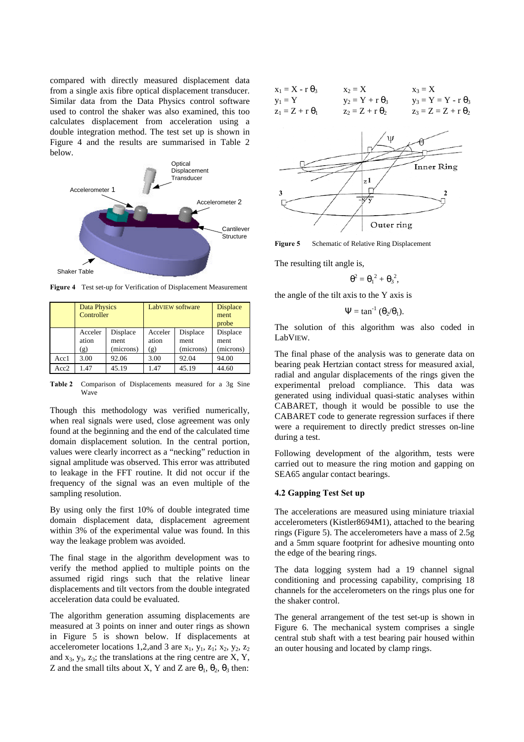compared with directly measured displacement data from a single axis fibre optical displacement transducer. Similar data from the Data Physics control software used to control the shaker was also examined, this too calculates displacement from acceleration using a double integration method. The test set up is shown in Figure 4 and the results are summarised in Table 2 below.



**Figure 4** Test set-up for Verification of Displacement Measurement

|      | Data Physics<br>Controller |                               | LabVIEW software        | <b>Displace</b><br>ment<br>probe |                               |
|------|----------------------------|-------------------------------|-------------------------|----------------------------------|-------------------------------|
|      | Acceler<br>ation<br>(g)    | Displace<br>ment<br>(microns) | Acceler<br>ation<br>(g) | Displace<br>ment<br>(microns)    | Displace<br>ment<br>(microns) |
| Acc1 | 3.00                       | 92.06                         | 3.00                    | 92.04                            | 94.00                         |
| Acc2 | 1.47                       | 45.19                         | 1.47                    | 45.19                            | 44.60                         |

**Table 2** Comparison of Displacements measured for a 3g Sine Wave

Though this methodology was verified numerically, when real signals were used, close agreement was only found at the beginning and the end of the calculated time domain displacement solution. In the central portion, values were clearly incorrect as a "necking" reduction in signal amplitude was observed. This error was attributed to leakage in the FFT routine. It did not occur if the frequency of the signal was an even multiple of the sampling resolution.

By using only the first 10% of double integrated time domain displacement data, displacement agreement within 3% of the experimental value was found. In this way the leakage problem was avoided.

The final stage in the algorithm development was to verify the method applied to multiple points on the assumed rigid rings such that the relative linear displacements and tilt vectors from the double integrated acceleration data could be evaluated.

The algorithm generation assuming displacements are measured at 3 points on inner and outer rings as shown in Figure 5 is shown below. If displacements at accelerometer locations 1,2,and 3 are  $x_1$ ,  $y_1$ ,  $z_1$ ;  $x_2$ ,  $y_2$ ,  $z_2$ and  $x_3$ ,  $y_3$ ,  $z_3$ ; the translations at the ring centre are  $X$ ,  $Y$ , Z and the small tilts about X, Y and Z are  $\theta_1$ ,  $\theta_2$ ,  $\theta_3$  then:

| $x_1 = X - r \theta_3$ | $x_2 = X$              | $x_3 = X$                  |
|------------------------|------------------------|----------------------------|
| $y_1 = Y$              | $y_2 = Y + r \theta_3$ | $y_3 = Y = Y - r \theta_3$ |
| $z_1 = Z + r \theta_1$ | $z_2 = Z + r \theta_2$ | $z_3 = Z = Z + r \theta_2$ |



Figure 5 Schematic of Relative Ring Displacement

The resulting tilt angle is,

$$
\theta^2 = {\theta_1}^2 + {\theta_3}^2,
$$

the angle of the tilt axis to the Y axis is

$$
\Psi = \tan^{-1}(\theta_2/\theta_1).
$$

The solution of this algorithm was also coded in LabVIEW.

The final phase of the analysis was to generate data on bearing peak Hertzian contact stress for measured axial, radial and angular displacements of the rings given the experimental preload compliance. This data was generated using individual quasi-static analyses within CABARET, though it would be possible to use the CABARET code to generate regression surfaces if there were a requirement to directly predict stresses on-line during a test.

Following development of the algorithm, tests were carried out to measure the ring motion and gapping on SEA65 angular contact bearings.

### **4.2 Gapping Test Set up**

The accelerations are measured using miniature triaxial accelerometers (Kistler8694M1), attached to the bearing rings (Figure 5). The accelerometers have a mass of 2.5g and a 5mm square footprint for adhesive mounting onto the edge of the bearing rings.

The data logging system had a 19 channel signal conditioning and processing capability, comprising 18 channels for the accelerometers on the rings plus one for the shaker control.

The general arrangement of the test set-up is shown in Figure 6. The mechanical system comprises a single central stub shaft with a test bearing pair housed within an outer housing and located by clamp rings.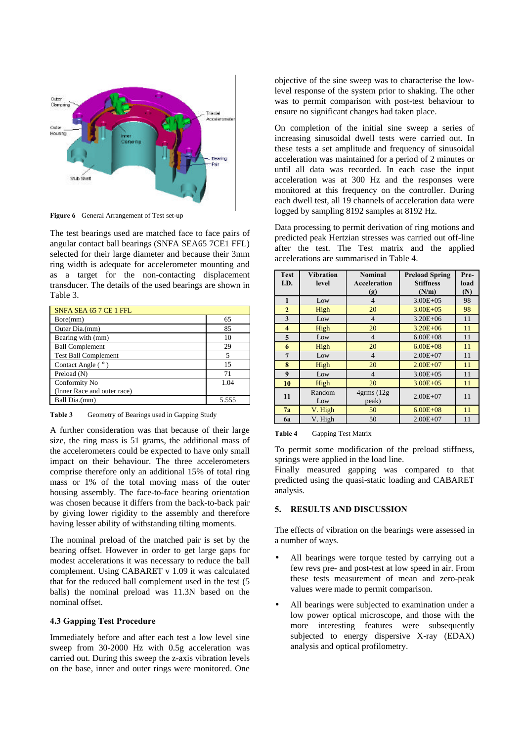

**Figure 6** General Arrangement of Test set-up

The test bearings used are matched face to face pairs of angular contact ball bearings (SNFA SEA65 7CE1 FFL) selected for their large diameter and because their 3mm ring width is adequate for accelerometer mounting and as a target for the non-contacting displacement transducer. The details of the used bearings are shown in Table 3.

| SNFA SEA 65 7 CE 1 FFL      |       |
|-----------------------------|-------|
| Bore(mm)                    | 65    |
| Outer Dia.(mm)              | 85    |
| Bearing with (mm)           | 10    |
| <b>Ball Complement</b>      | 29    |
| <b>Test Ball Complement</b> | 5     |
| Contact Angle $(°)$         | 15    |
| Preload (N)                 | 71    |
| Conformity No               | 1.04  |
| (Inner Race and outer race) |       |
| Ball Dia.(mm)               | 5.555 |

Table 3 Geometry of Bearings used in Gapping Study

A further consideration was that because of their large size, the ring mass is 51 grams, the additional mass of the accelerometers could be expected to have only small impact on their behaviour. The three accelerometers comprise therefore only an additional 15% of total ring mass or 1% of the total moving mass of the outer housing assembly. The face-to-face bearing orientation was chosen because it differs from the back-to-back pair by giving lower rigidity to the assembly and therefore having lesser ability of withstanding tilting moments.

The nominal preload of the matched pair is set by the bearing offset. However in order to get large gaps for modest accelerations it was necessary to reduce the ball complement. Using CABARET v 1.09 it was calculated that for the reduced ball complement used in the test (5 balls) the nominal preload was 11.3N based on the nominal offset.

# **4.3 Gapping Test Procedure**

Immediately before and after each test a low level sine sweep from 30-2000 Hz with 0.5g acceleration was carried out. During this sweep the z-axis vibration levels on the base, inner and outer rings were monitored. One

objective of the sine sweep was to characterise the lowlevel response of the system prior to shaking. The other was to permit comparison with post-test behaviour to ensure no significant changes had taken place.

On completion of the initial sine sweep a series of increasing sinusoidal dwell tests were carried out. In these tests a set amplitude and frequency of sinusoidal acceleration was maintained for a period of 2 minutes or until all data was recorded. In each case the input acceleration was at 300 Hz and the responses were monitored at this frequency on the controller. During each dwell test, all 19 channels of acceleration data were logged by sampling 8192 samples at 8192 Hz.

Data processing to permit derivation of ring motions and predicted peak Hertzian stresses was carried out off-line after the test. The Test matrix and the applied accelerations are summarised in Table 4.

| <b>Test</b>    | <b>Vibration</b> | <b>Nominal</b>            | <b>Preload Spring</b> | Pre- |
|----------------|------------------|---------------------------|-----------------------|------|
| I.D.           | level            | Acceleration              | <b>Stiffness</b>      | load |
|                |                  | (g)                       | (N/m)                 | (N)  |
| $\mathbf{1}$   | Low              | $\overline{4}$            | $3.00E + 0.5$         | 98   |
| $\overline{2}$ | High             | 20                        | $3.00E + 0.5$         | 98   |
| 3              | Low              | $\overline{4}$            | $3.20E + 06$          | 11   |
| 4              | High             | 20                        | $3.20E + 06$          | 11   |
| 5              | Low              | $\overline{4}$            | $6.00E + 08$          | 11   |
| 6              | High             | 20                        | $6.00E + 08$          | 11   |
| 7              | Low              | $\overline{4}$            | $2.00E + 07$          | 11   |
| 8              | High             | 20                        | $2.00E + 07$          | 11   |
| 9              | Low              | $\overline{4}$            | $3.00E + 0.5$         | 11   |
| 10             | High             | 20                        | $3.00E + 0.5$         | 11   |
| 11             | Random<br>Low    | $4$ grms $(12g)$<br>peak) | $2.00E + 07$          | 11   |
| 7a             | V. High          | 50                        | $6.00E + 08$          | 11   |
| 6a             | V. High          | 50                        | $2.00E + 07$          | 11   |

**Table 4** Gapping Test Matrix

To permit some modification of the preload stiffness, springs were applied in the load line.

Finally measured gapping was compared to that predicted using the quasi-static loading and CABARET analysis.

### **5. RESULTS AND DISCUSSION**

The effects of vibration on the bearings were assessed in a number of ways.

- All bearings were torque tested by carrying out a few revs pre- and post-test at low speed in air. From these tests measurement of mean and zero-peak values were made to permit comparison.
- All bearings were subjected to examination under a low power optical microscope, and those with the more interesting features were subsequently subjected to energy dispersive X-ray (EDAX) analysis and optical profilometry.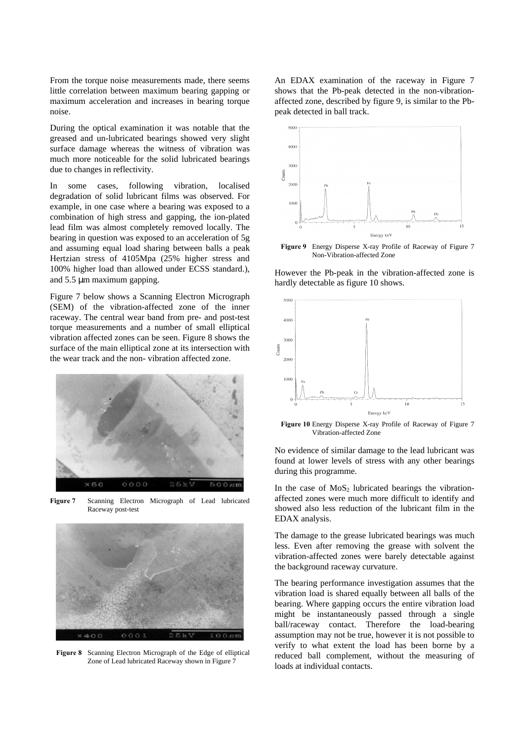From the torque noise measurements made, there seems little correlation between maximum bearing gapping or maximum acceleration and increases in bearing torque noise.

During the optical examination it was notable that the greased and un-lubricated bearings showed very slight surface damage whereas the witness of vibration was much more noticeable for the solid lubricated bearings due to changes in reflectivity.

In some cases, following vibration, localised degradation of solid lubricant films was observed. For example, in one case where a bearing was exposed to a combination of high stress and gapping, the ion-plated lead film was almost completely removed locally. The bearing in question was exposed to an acceleration of 5g and assuming equal load sharing between balls a peak Hertzian stress of 4105Mpa (25% higher stress and 100% higher load than allowed under ECSS standard.), and 5.5 μm maximum gapping.

Figure 7 below shows a Scanning Electron Micrograph (SEM) of the vibration-affected zone of the inner raceway. The central wear band from pre- and post-test torque measurements and a number of small elliptical vibration affected zones can be seen. Figure 8 shows the surface of the main elliptical zone at its intersection with the wear track and the non- vibration affected zone.



**Figure 7** Scanning Electron Micrograph of Lead lubricated Raceway post-test



**Figure 8** Scanning Electron Micrograph of the Edge of elliptical Zone of Lead lubricated Raceway shown in Figure 7

An EDAX examination of the raceway in Figure 7 shows that the Pb-peak detected in the non-vibrationaffected zone, described by figure 9, is similar to the Pbpeak detected in ball track.



**Figure 9** Energy Disperse X-ray Profile of Raceway of Figure 7 Non-Vibration-affected Zone

However the Pb-peak in the vibration-affected zone is hardly detectable as figure 10 shows.



**Figure 10** Energy Disperse X-ray Profile of Raceway of Figure 7 Vibration-affected Zone

No evidence of similar damage to the lead lubricant was found at lower levels of stress with any other bearings during this programme.

In the case of  $MoS<sub>2</sub>$  lubricated bearings the vibrationaffected zones were much more difficult to identify and showed also less reduction of the lubricant film in the EDAX analysis.

The damage to the grease lubricated bearings was much less. Even after removing the grease with solvent the vibration-affected zones were barely detectable against the background raceway curvature.

The bearing performance investigation assumes that the vibration load is shared equally between all balls of the bearing. Where gapping occurs the entire vibration load might be instantaneously passed through a single ball/raceway contact. Therefore the load-bearing assumption may not be true, however it is not possible to verify to what extent the load has been borne by a reduced ball complement, without the measuring of loads at individual contacts.